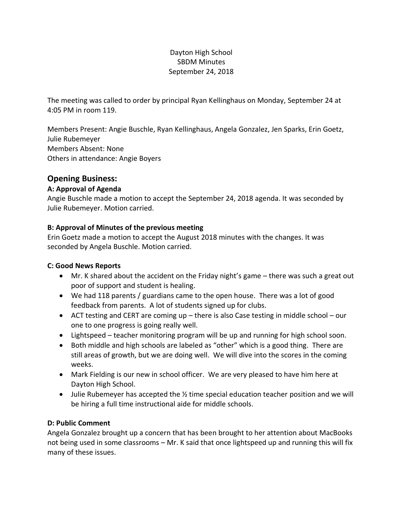### Dayton High School SBDM Minutes September 24, 2018

The meeting was called to order by principal Ryan Kellinghaus on Monday, September 24 at 4:05 PM in room 119.

Members Present: Angie Buschle, Ryan Kellinghaus, Angela Gonzalez, Jen Sparks, Erin Goetz, Julie Rubemeyer Members Absent: None Others in attendance: Angie Boyers

# **Opening Business:**

#### **A: Approval of Agenda**

Angie Buschle made a motion to accept the September 24, 2018 agenda. It was seconded by Julie Rubemeyer. Motion carried.

#### **B: Approval of Minutes of the previous meeting**

Erin Goetz made a motion to accept the August 2018 minutes with the changes. It was seconded by Angela Buschle. Motion carried.

#### **C: Good News Reports**

- Mr. K shared about the accident on the Friday night's game there was such a great out poor of support and student is healing.
- We had 118 parents / guardians came to the open house. There was a lot of good feedback from parents. A lot of students signed up for clubs.
- ACT testing and CERT are coming up there is also Case testing in middle school our one to one progress is going really well.
- Lightspeed teacher monitoring program will be up and running for high school soon.
- Both middle and high schools are labeled as "other" which is a good thing. There are still areas of growth, but we are doing well. We will dive into the scores in the coming weeks.
- Mark Fielding is our new in school officer. We are very pleased to have him here at Dayton High School.
- Julie Rubemeyer has accepted the  $\frac{1}{2}$  time special education teacher position and we will be hiring a full time instructional aide for middle schools.

#### **D: Public Comment**

Angela Gonzalez brought up a concern that has been brought to her attention about MacBooks not being used in some classrooms – Mr. K said that once lightspeed up and running this will fix many of these issues.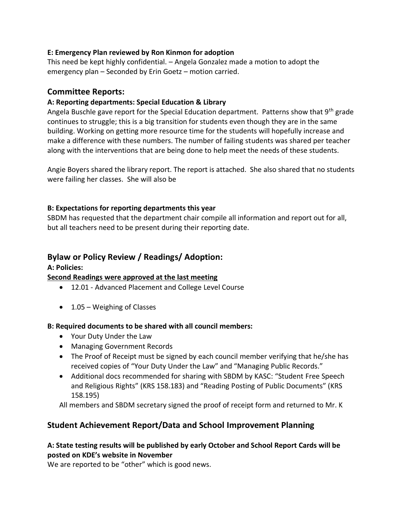#### **E: Emergency Plan reviewed by Ron Kinmon for adoption**

This need be kept highly confidential. – Angela Gonzalez made a motion to adopt the emergency plan – Seconded by Erin Goetz – motion carried.

### **Committee Reports:**

### **A: Reporting departments: Special Education & Library**

Angela Buschle gave report for the Special Education department. Patterns show that 9<sup>th</sup> grade continues to struggle; this is a big transition for students even though they are in the same building. Working on getting more resource time for the students will hopefully increase and make a difference with these numbers. The number of failing students was shared per teacher along with the interventions that are being done to help meet the needs of these students.

Angie Boyers shared the library report. The report is attached. She also shared that no students were failing her classes. She will also be

#### **B: Expectations for reporting departments this year**

SBDM has requested that the department chair compile all information and report out for all, but all teachers need to be present during their reporting date.

### **Bylaw or Policy Review / Readings/ Adoption:**

#### **A: Policies:**

#### **Second Readings were approved at the last meeting**

- 12.01 Advanced Placement and College Level Course
- 1.05 Weighing of Classes

#### **B: Required documents to be shared with all council members:**

- Your Duty Under the Law
- Managing Government Records
- The Proof of Receipt must be signed by each council member verifying that he/she has received copies of "Your Duty Under the Law" and "Managing Public Records."
- Additional docs recommended for sharing with SBDM by KASC: "Student Free Speech and Religious Rights" (KRS 158.183) and "Reading Posting of Public Documents" (KRS 158.195)

All members and SBDM secretary signed the proof of receipt form and returned to Mr. K

# **Student Achievement Report/Data and School Improvement Planning**

#### **A: State testing results will be published by early October and School Report Cards will be posted on KDE's website in November**

We are reported to be "other" which is good news.